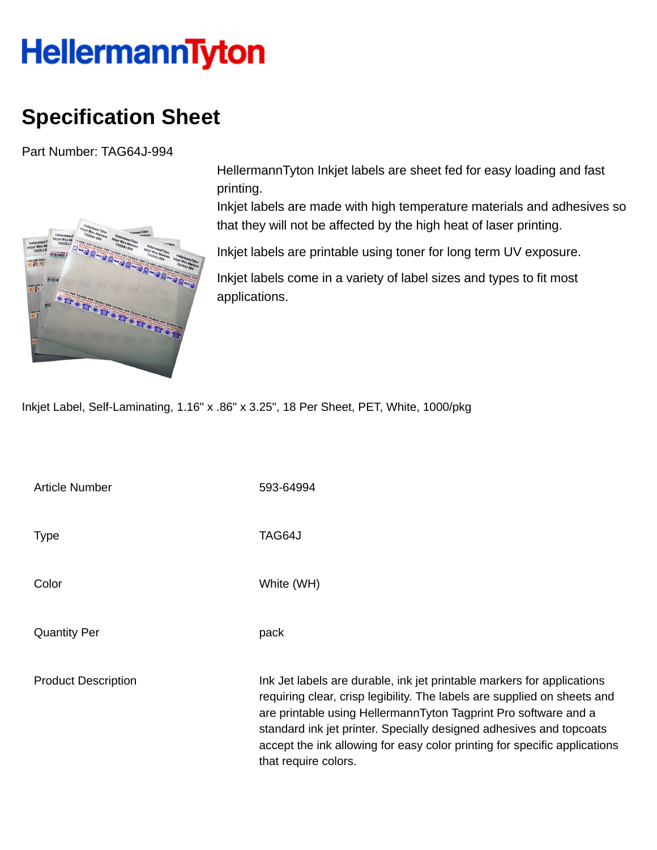## **HellermannTyton**

## **Specification Sheet**

Part Number: TAG64J-994



HellermannTyton Inkjet labels are sheet fed for easy loading and fast printing.

Inkjet labels are made with high temperature materials and adhesives so that they will not be affected by the high heat of laser printing.

Inkjet labels are printable using toner for long term UV exposure.

Inkjet labels come in a variety of label sizes and types to fit most applications.

Inkjet Label, Self-Laminating, 1.16" x .86" x 3.25", 18 Per Sheet, PET, White, 1000/pkg

Article Number 593-64994 Type TAG64J Color White (WH) Quantity Per **pack** Product Description **Ink Jet labels are durable, ink jet printable markers for applications** requiring clear, crisp legibility. The labels are supplied on sheets and are printable using HellermannTyton Tagprint Pro software and a standard ink jet printer. Specially designed adhesives and topcoats accept the ink allowing for easy color printing for specific applications that require colors.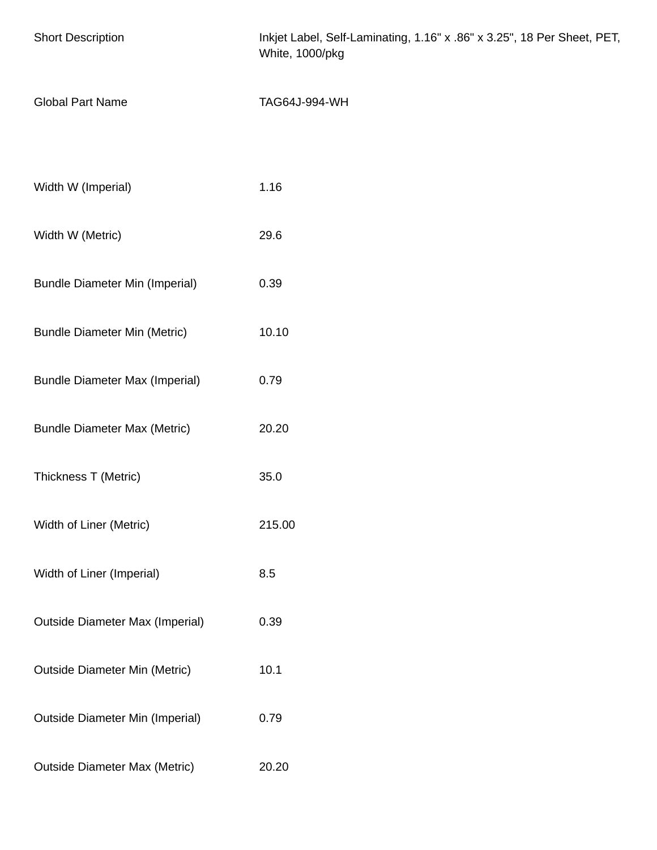| <b>Short Description</b>               | Inkjet Label, Self-Laminating, 1.16" x .86" x 3.25", 18 Per Sheet, PET,<br>White, 1000/pkg |
|----------------------------------------|--------------------------------------------------------------------------------------------|
| <b>Global Part Name</b>                | TAG64J-994-WH                                                                              |
|                                        |                                                                                            |
| Width W (Imperial)                     | 1.16                                                                                       |
| Width W (Metric)                       | 29.6                                                                                       |
| <b>Bundle Diameter Min (Imperial)</b>  | 0.39                                                                                       |
| <b>Bundle Diameter Min (Metric)</b>    | 10.10                                                                                      |
| <b>Bundle Diameter Max (Imperial)</b>  | 0.79                                                                                       |
| <b>Bundle Diameter Max (Metric)</b>    | 20.20                                                                                      |
| Thickness T (Metric)                   | 35.0                                                                                       |
| Width of Liner (Metric)                | 215.00                                                                                     |
| Width of Liner (Imperial)              | 8.5                                                                                        |
| <b>Outside Diameter Max (Imperial)</b> | 0.39                                                                                       |
| <b>Outside Diameter Min (Metric)</b>   | 10.1                                                                                       |
| <b>Outside Diameter Min (Imperial)</b> | 0.79                                                                                       |
| <b>Outside Diameter Max (Metric)</b>   | 20.20                                                                                      |